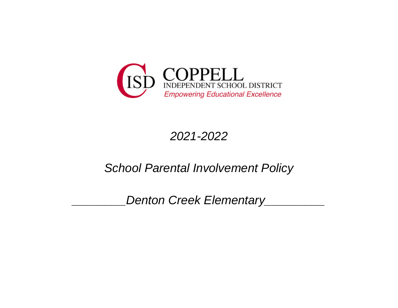

# *2021-2022*

## *School Parental Involvement Policy*

*\_\_\_\_\_\_\_\_Denton Creek Elementary\_\_\_\_\_\_\_\_\_*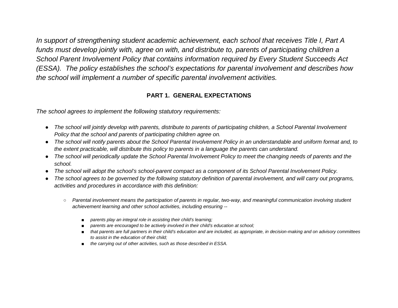*In support of strengthening student academic achievement, each school that receives Title I, Part A funds must develop jointly with, agree on with, and distribute to, parents of participating children a School Parent Involvement Policy that contains information required by Every Student Succeeds Act (ESSA). The policy establishes the school's expectations for parental involvement and describes how the school will implement a number of specific parental involvement activities.*

## **PART 1. GENERAL EXPECTATIONS**

*The school agrees to implement the following statutory requirements:*

- *The school will jointly develop with parents, distribute to parents of participating children, a School Parental Involvement Policy that the school and parents of participating children agree on.*
- *The school will notify parents about the School Parental Involvement Policy in an understandable and uniform format and, to the extent practicable, will distribute this policy to parents in a language the parents can understand.*
- *The school will periodically update the School Parental Involvement Policy to meet the changing needs of parents and the school.*
- *The school will adopt the school's school-parent compact as a component of its School Parental Involvement Policy.*
- *The school agrees to be governed by the following statutory definition of parental involvement, and will carry out programs, activities and procedures in accordance with this definition:*
	- Parental involvement means the participation of parents in regular, two-way, and meaningful communication involving student *achievement learning and other school activities, including ensuring --*
		- *parents play an integral role in assisting their child's learning;*
		- *parents are encouraged to be actively involved in their child's education at school;*
		- *that parents are full partners in their child's education and are included, as appropriate, in decision-making and on advisory committees to assist in the education of their child;*
		- *the carrying out of other activities, such as those described in ESSA.*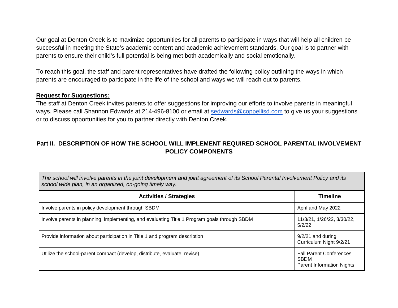Our goal at Denton Creek is to maximize opportunities for all parents to participate in ways that will help all children be successful in meeting the State's academic content and academic achievement standards. Our goal is to partner with parents to ensure their child's full potential is being met both academically and social emotionally.

To reach this goal, the staff and parent representatives have drafted the following policy outlining the ways in which parents are encouraged to participate in the life of the school and ways we will reach out to parents.

#### **Request for Suggestions:**

The staff at Denton Creek invites parents to offer suggestions for improving our efforts to involve parents in meaningful ways. Please call Shannon Edwards at 214-496-8100 or email at [sedwards@coppellisd.com](mailto:sedwards@coppellisd.com) to give us your suggestions or to discuss opportunities for you to partner directly with Denton Creek.

## **Part II. DESCRIPTION OF HOW THE SCHOOL WILL IMPLEMENT REQUIRED SCHOOL PARENTAL INVOLVEMENT POLICY COMPONENTS**

*The school will involve parents in the joint development and joint agreement of its School Parental Involvement Policy and its school wide plan, in an organized, on-going timely way.*

| <b>Activities / Strategies</b>                                                               | <b>Timeline</b>                                                                   |
|----------------------------------------------------------------------------------------------|-----------------------------------------------------------------------------------|
| Involve parents in policy development through SBDM                                           | April and May 2022                                                                |
| Involve parents in planning, implementing, and evaluating Title 1 Program goals through SBDM | 11/3/21, 1/26/22, 3/30/22,<br>5/2/22                                              |
| Provide information about participation in Title 1 and program description                   | $9/2/21$ and during<br>Curriculum Night 9/2/21                                    |
| Utilize the school-parent compact (develop, distribute, evaluate, revise)                    | <b>Fall Parent Conferences</b><br><b>SBDM</b><br><b>Parent Information Nights</b> |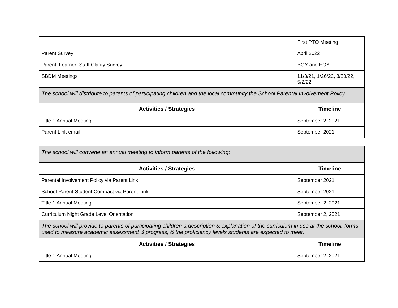|                                                                                                                                 | First PTO Meeting                    |
|---------------------------------------------------------------------------------------------------------------------------------|--------------------------------------|
| <b>Parent Survey</b>                                                                                                            | April 2022                           |
| Parent, Learner, Staff Clarity Survey                                                                                           | BOY and EOY                          |
| <b>SBDM Meetings</b>                                                                                                            | 11/3/21, 1/26/22, 3/30/22,<br>5/2/22 |
| The school will distribute to parents of participating children and the local community the School Parental Involvement Policy. |                                      |

| <b>Activities / Strategies</b> | <b>Timeline</b>   |
|--------------------------------|-------------------|
| Title 1 Annual Meeting         | September 2, 2021 |
| Parent Link email              | September 2021    |

| The school will convene an annual meeting to inform parents of the following:                                                                                                                                                                     |                   |
|---------------------------------------------------------------------------------------------------------------------------------------------------------------------------------------------------------------------------------------------------|-------------------|
| <b>Activities / Strategies</b>                                                                                                                                                                                                                    | <b>Timeline</b>   |
| Parental Involvement Policy via Parent Link                                                                                                                                                                                                       | September 2021    |
| School-Parent-Student Compact via Parent Link                                                                                                                                                                                                     | September 2021    |
| <b>Title 1 Annual Meeting</b>                                                                                                                                                                                                                     | September 2, 2021 |
| <b>Curriculum Night Grade Level Orientation</b>                                                                                                                                                                                                   | September 2, 2021 |
| The school will provide to parents of participating children a description & explanation of the curriculum in use at the school, forms<br>used to measure academic assessment & progress, & the proficiency levels students are expected to meet. |                   |
| <b>Activities / Strategies</b>                                                                                                                                                                                                                    | <b>Timeline</b>   |
| <b>Title 1 Annual Meeting</b>                                                                                                                                                                                                                     | September 2, 2021 |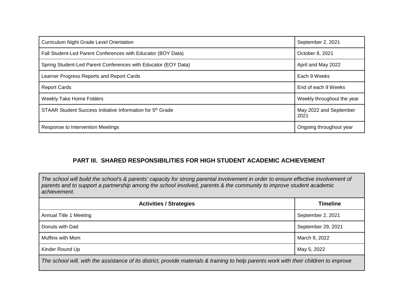| <b>Curriculum Night Grade Level Orientation</b>                        | September 2, 2021              |
|------------------------------------------------------------------------|--------------------------------|
| Fall Student-Led Parent Conferences with Educator (BOY Data)           | October 8, 2021                |
| Spring Student-Led Parent Conferences with Educator (EOY Data)         | April and May 2022             |
| Learner Progress Reports and Report Cards                              | Each 9 Weeks                   |
| <b>Report Cards</b>                                                    | End of each 9 Weeks            |
| <b>Weekly Take Home Folders</b>                                        | Weekly throughout the year     |
| STAAR Student Success Initiative Information for 5 <sup>th</sup> Grade | May 2022 and September<br>2021 |
| Response to Intervention Meetings                                      | Ongoing throughout year        |

## **PART III. SHARED RESPONSIBILITIES FOR HIGH STUDENT ACADEMIC ACHIEVEMENT**

*The school will build the school's & parents' capacity for strong parental involvement in order to ensure effective involvement of parents and to support a partnership among the school involved, parents & the community to improve student academic achievement.*

| <b>Activities / Strategies</b>                                                                                                         | <b>Timeline</b>    |
|----------------------------------------------------------------------------------------------------------------------------------------|--------------------|
| Annual Title 1 Meeting                                                                                                                 | September 2, 2021  |
| Donuts with Dad                                                                                                                        | September 29, 2021 |
| Muffins with Mom                                                                                                                       | March 9, 2022      |
| Kinder Round Up                                                                                                                        | May 5, 2022        |
| The school will, with the assistance of its district, provide materials & training to help parents work with their children to improve |                    |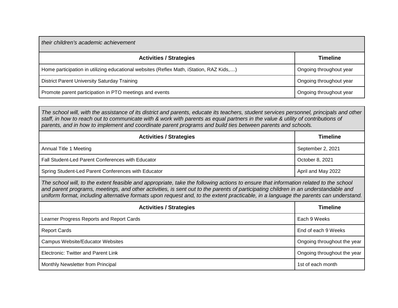| their children's academic achievement                                                   |                         |
|-----------------------------------------------------------------------------------------|-------------------------|
| <b>Activities / Strategies</b>                                                          | <b>Timeline</b>         |
| Home participation in utilizing educational websites (Reflex Math, iStation, RAZ Kids,) | Ongoing throughout year |
| District Parent University Saturday Training                                            | Ongoing throughout year |
| Promote parent participation in PTO meetings and events                                 | Ongoing throughout year |

*The school will, with the assistance of its district and parents, educate its teachers, student services personnel, principals and other staff, in how to reach out to communicate with & work with parents as equal partners in the value & utility of contributions of parents, and in how to implement and coordinate parent programs and build ties between parents and schools.*

| <b>Activities / Strategies</b>                      | <b>Timeline</b>    |
|-----------------------------------------------------|--------------------|
| Annual Title 1 Meeting                              | September 2, 2021  |
| Fall Student-Led Parent Conferences with Educator   | October 8, 2021    |
| Spring Student-Led Parent Conferences with Educator | April and May 2022 |

*The school will, to the extent feasible and appropriate, take the following actions to ensure that information related to the school and parent programs, meetings, and other activities, is sent out to the parents of participating children in an understandable and uniform format, including alternative formats upon request and, to the extent practicable, in a language the parents can understand.*

| <b>Activities / Strategies</b>            | <b>Timeline</b>             |
|-------------------------------------------|-----------------------------|
| Learner Progress Reports and Report Cards | Each 9 Weeks                |
| <b>Report Cards</b>                       | End of each 9 Weeks         |
| <b>Campus Website/Educator Websites</b>   | Ongoing throughout the year |
| Electronic: Twitter and Parent Link       | Ongoing throughout the year |
| Monthly Newsletter from Principal         | 1st of each month           |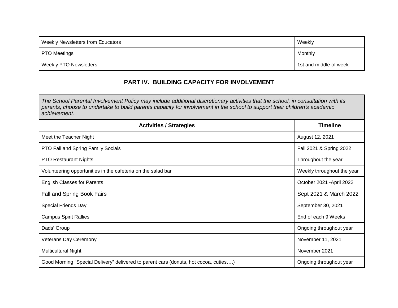| <b>Weekly Newsletters from Educators</b> | Weekly                 |
|------------------------------------------|------------------------|
| <b>PTO Meetings</b>                      | Monthly                |
| <b>Weekly PTO Newsletters</b>            | 1st and middle of week |

## **PART IV. BUILDING CAPACITY FOR INVOLVEMENT**

*The School Parental Involvement Policy may include additional discretionary activities that the school, in consultation with its parents, choose to undertake to build parents capacity for involvement in the school to support their children's academic achievement.*

| <b>Activities / Strategies</b>                                                       | <b>Timeline</b>            |
|--------------------------------------------------------------------------------------|----------------------------|
| Meet the Teacher Night                                                               | August 12, 2021            |
| PTO Fall and Spring Family Socials                                                   | Fall 2021 & Spring 2022    |
| <b>PTO Restaurant Nights</b>                                                         | Throughout the year        |
| Volunteering opportunities in the cafeteria on the salad bar                         | Weekly throughout the year |
| <b>English Classes for Parents</b>                                                   | October 2021 - April 2022  |
| Fall and Spring Book Fairs                                                           | Sept 2021 & March 2022     |
| Special Friends Day                                                                  | September 30, 2021         |
| <b>Campus Spirit Rallies</b>                                                         | End of each 9 Weeks        |
| Dads' Group                                                                          | Ongoing throughout year    |
| <b>Veterans Day Ceremony</b>                                                         | November 11, 2021          |
| <b>Multicultural Night</b>                                                           | November 2021              |
| Good Morning "Special Delivery" delivered to parent cars (donuts, hot cocoa, cuties) | Ongoing throughout year    |